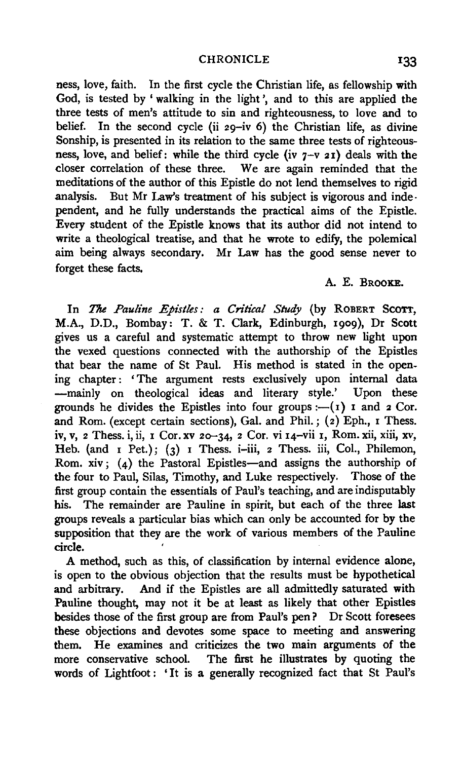ness, love, faith. In the first cycle the Christian life, as fellowship with God, is tested by 'walking in the light', and to this are applied the three tests of men's attitude to sin and righteousness, to love and to belief. In the second cycle (ii 29-iv 6) the Christian life, as divine Sonship, is presented in its relation to the same three tests of righteousness, love, and belief: while the third cycle (iv  $7-\nu$  21) deals with the closer correlation of these three. We are again reminded that the We are again reminded that the meditations of the author of this Epistle do not lend themselves to rigid analysis. But Mr Law's treatment of his subject is vigorous and independent, and he fully understands the practical aims of the Epistle. Every student of the Epistle knows that its author did not intend to write a theological treatise, and that he wrote to edify, the polemical aim being always secondary. Mr Law has the good sense never to forget these facts.

## A. E. BROOKE.

In *The Pauline Epistles: a Critical Study* (by ROBERT SCOTT, M.A., D.D., Bombay: T. & T. Clark, Edinburgh, 1909), Dr Scott gives us a careful and systematic attempt to throw new light upon the vexed questions connected with the authorship of the Epistles that bear the name of St Paul. His method is stated in the opening chapter: 'The argument rests exclusively upon internal data -mainly on theological ideas and literary style.' Upon these grounds he divides the Epistles into four groups :-  $(r)$  I and 2 Cor. and Rom. (except certain sections), Gal. and Phil.;  $(z)$  Eph., I Thess. iv, v, 2 Thess. i, ii, I Cor. xv 2o-34, 2 Cor. vi I4-vii 1, Rom. xii, xiii, xv, Heb. (and I Pet.); (3) I Thess. i-iii, 2 Thess. iii, Col., Philemon, Rom. xiv;  $(4)$  the Pastoral Epistles-and assigns the authorship of the four to Paul, Silas, Timothy, and Luke respectively. Those of the first group contain the essentials of Paul's teaching, and are indisputably his. The remainder are Pauline in spirit, but each of the three last groups reveals a particular bias which can only be accounted for by the supposition that they are the work of various members of the Pauline circle.

A method, such as this, of classification by internal evidence alone, is open to the obvious objection that the results must be hypothetical and arbitrary. And if the Epistles are all admittedly saturated with Pauline thought, may not it be at least as likely that other Epistles besides those of the first group are from Paul's pen ? Dr Scott foresees these objections and devotes some space to meeting and answering them. He examines and criticizes the two main arguments of the more conservative school. The first he illustrates by quoting the words of Lightfoot: 'It is a generally recognized fact that St Paul's